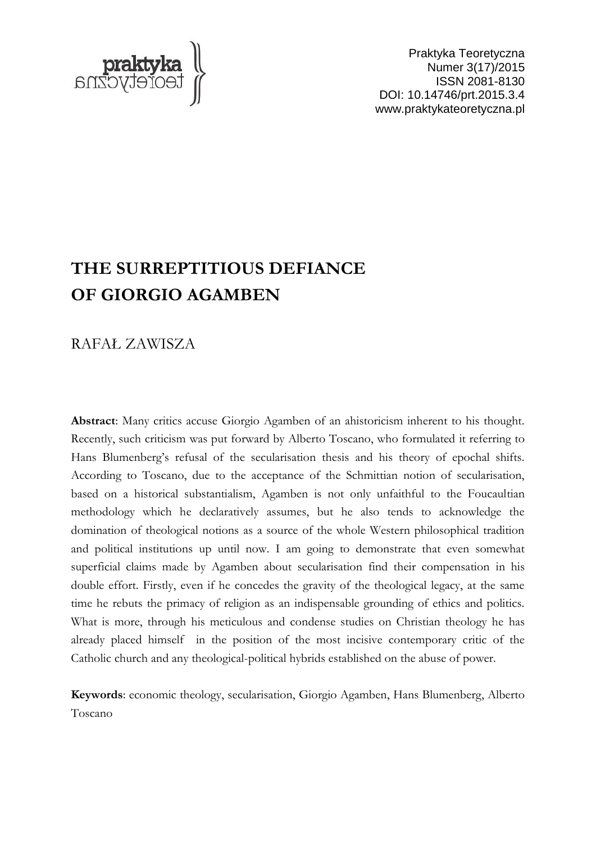

Praktyka Teoretyczna Numer 3(17)/2015 ISSN 2081-8130 DOI: 10.14746/prt.2015.3.4 www.praktykateoretyczna.pl

# **THE SURREPTITIOUS DEFIANCE OF GIORGIO AGAMBEN**

RAFAŁ ZAWISZA

**Abstract**: Many critics accuse Giorgio Agamben of an ahistoricism inherent to his thought. Recently, such criticism was put forward by Alberto Toscano, who formulated it referring to Hans Blumenberg's refusal of the secularisation thesis and his theory of epochal shifts. According to Toscano, due to the acceptance of the Schmittian notion of secularisation, based on a historical substantialism, Agamben is not only unfaithful to the Foucaultian methodology which he declaratively assumes, but he also tends to acknowledge the domination of theological notions as a source of the whole Western philosophical tradition and political institutions up until now. I am going to demonstrate that even somewhat superficial claims made by Agamben about secularisation find their compensation in his double effort. Firstly, even if he concedes the gravity of the theological legacy, at the same time he rebuts the primacy of religion as an indispensable grounding of ethics and politics. What is more, through his meticulous and condense studies on Christian theology he has already placed himself in the position of the most incisive contemporary critic of the Catholic church and any theological-political hybrids established on the abuse of power.

**Keywords**: economic theology, secularisation, Giorgio Agamben, Hans Blumenberg, Alberto Toscano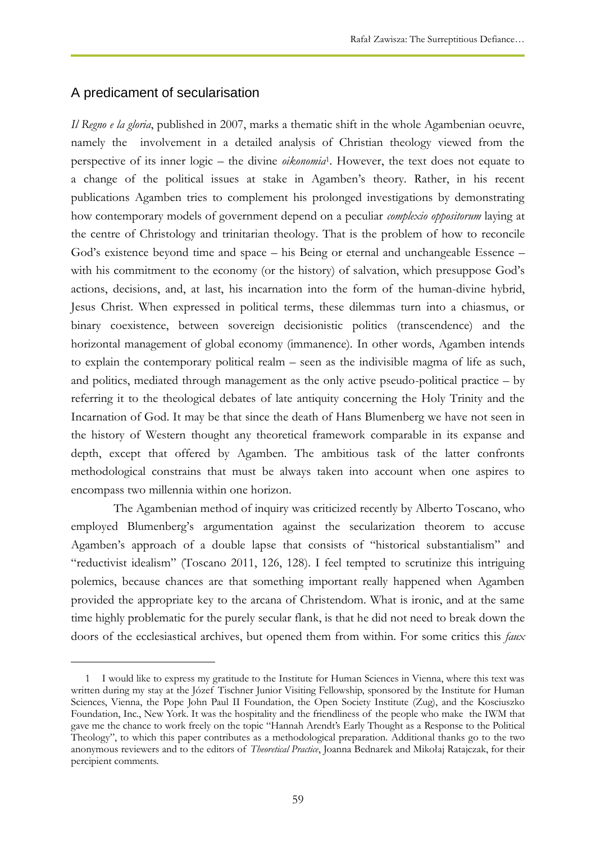# A predicament of secularisation

 $\overline{a}$ 

*Il Regno e la gloria*, published in 2007, marks a thematic shift in the whole Agambenian oeuvre, namely the involvement in a detailed analysis of Christian theology viewed from the perspective of its inner logic – the divine *oikonomia*<sup>1</sup> . However, the text does not equate to a change of the political issues at stake in Agamben's theory. Rather, in his recent publications Agamben tries to complement his prolonged investigations by demonstrating how contemporary models of government depend on a peculiar *complexio oppositorum* laying at the centre of Christology and trinitarian theology. That is the problem of how to reconcile God's existence beyond time and space – his Being or eternal and unchangeable Essence – with his commitment to the economy (or the history) of salvation, which presuppose God's actions, decisions, and, at last, his incarnation into the form of the human-divine hybrid, Jesus Christ. When expressed in political terms, these dilemmas turn into a chiasmus, or binary coexistence, between sovereign decisionistic politics (transcendence) and the horizontal management of global economy (immanence). In other words, Agamben intends to explain the contemporary political realm – seen as the indivisible magma of life as such, and politics, mediated through management as the only active pseudo-political practice – by referring it to the theological debates of late antiquity concerning the Holy Trinity and the Incarnation of God. It may be that since the death of Hans Blumenberg we have not seen in the history of Western thought any theoretical framework comparable in its expanse and depth, except that offered by Agamben. The ambitious task of the latter confronts methodological constrains that must be always taken into account when one aspires to encompass two millennia within one horizon.

The Agambenian method of inquiry was criticized recently by Alberto Toscano, who employed Blumenberg's argumentation against the secularization theorem to accuse Agamben's approach of a double lapse that consists of "historical substantialism" and "reductivist idealism" (Toscano 2011, 126, 128). I feel tempted to scrutinize this intriguing polemics, because chances are that something important really happened when Agamben provided the appropriate key to the arcana of Christendom. What is ironic, and at the same time highly problematic for the purely secular flank, is that he did not need to break down the doors of the ecclesiastical archives, but opened them from within. For some critics this *faux* 

<sup>1</sup> I would like to express my gratitude to the Institute for Human Sciences in Vienna, where this text was written during my stay at the Józef Tischner Junior Visiting Fellowship, sponsored by the Institute for Human Sciences, Vienna, the Pope John Paul II Foundation, the Open Society Institute (Zug), and the Kosciuszko Foundation, Inc., New York. It was the hospitality and the friendliness of the people who make the IWM that gave me the chance to work freely on the topic "Hannah Arendt's Early Thought as a Response to the Political Theology", to which this paper contributes as a methodological preparation. Additional thanks go to the two anonymous reviewers and to the editors of *Theoretical Practice*, Joanna Bednarek and Mikołaj Ratajczak, for their percipient comments.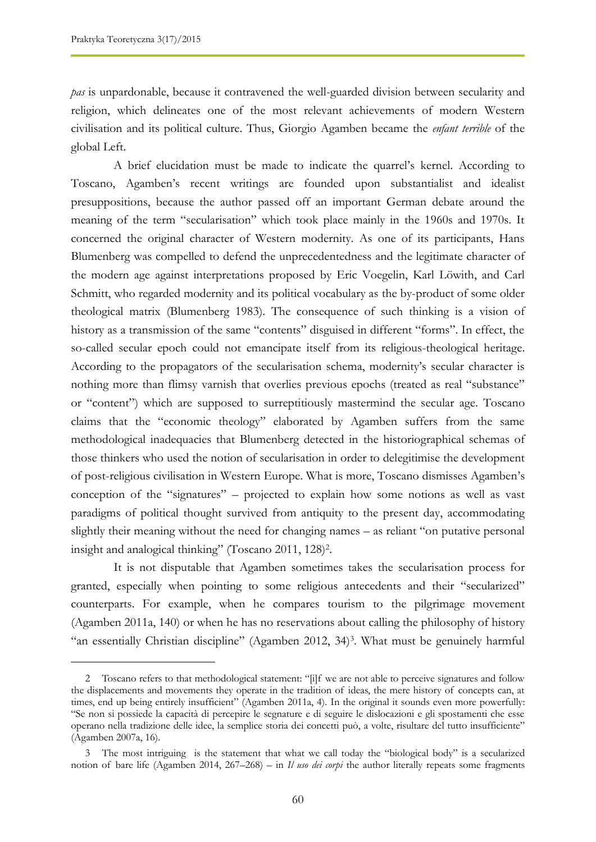*pas* is unpardonable, because it contravened the well-guarded division between secularity and religion, which delineates one of the most relevant achievements of modern Western civilisation and its political culture. Thus, Giorgio Agamben became the *enfant terrible* of the global Left.

A brief elucidation must be made to indicate the quarrel's kernel. According to Toscano, Agamben's recent writings are founded upon substantialist and idealist presuppositions, because the author passed off an important German debate around the meaning of the term "secularisation" which took place mainly in the 1960s and 1970s. It concerned the original character of Western modernity. As one of its participants, Hans Blumenberg was compelled to defend the unprecedentedness and the legitimate character of the modern age against interpretations proposed by Eric Voegelin, Karl Löwith, and Carl Schmitt, who regarded modernity and its political vocabulary as the by-product of some older theological matrix (Blumenberg 1983). The consequence of such thinking is a vision of history as a transmission of the same "contents" disguised in different "forms". In effect, the so-called secular epoch could not emancipate itself from its religious-theological heritage. According to the propagators of the secularisation schema, modernity's secular character is nothing more than flimsy varnish that overlies previous epochs (treated as real "substance" or "content") which are supposed to surreptitiously mastermind the secular age. Toscano claims that the "economic theology" elaborated by Agamben suffers from the same methodological inadequacies that Blumenberg detected in the historiographical schemas of those thinkers who used the notion of secularisation in order to delegitimise the development of post-religious civilisation in Western Europe. What is more, Toscano dismisses Agamben's conception of the "signatures" – projected to explain how some notions as well as vast paradigms of political thought survived from antiquity to the present day, accommodating slightly their meaning without the need for changing names – as reliant "on putative personal insight and analogical thinking" (Toscano 2011, 128)<sup>2</sup>.

It is not disputable that Agamben sometimes takes the secularisation process for granted, especially when pointing to some religious antecedents and their "secularized" counterparts. For example, when he compares tourism to the pilgrimage movement (Agamben 2011a, 140) or when he has no reservations about calling the philosophy of history "an essentially Christian discipline" (Agamben 2012, 34)<sup>3</sup> . What must be genuinely harmful

<sup>2</sup> Toscano refers to that methodological statement: "[i]f we are not able to perceive signatures and follow the displacements and movements they operate in the tradition of ideas, the mere history of concepts can, at times, end up being entirely insufficient" (Agamben 2011a, 4). In the original it sounds even more powerfully: "Se non si possiede la capacità di percepire le segnature e di seguire le dislocazioni e gli spostamenti che esse operano nella tradizione delle idee, la semplice storia dei concetti può, a volte, risultare del tutto insufficiente" (Agamben 2007a, 16).

<sup>3</sup> The most intriguing is the statement that what we call today the "biological body" is a secularized notion of bare life (Agamben 2014, 267–268) – in *Il uso dei corpi* the author literally repeats some fragments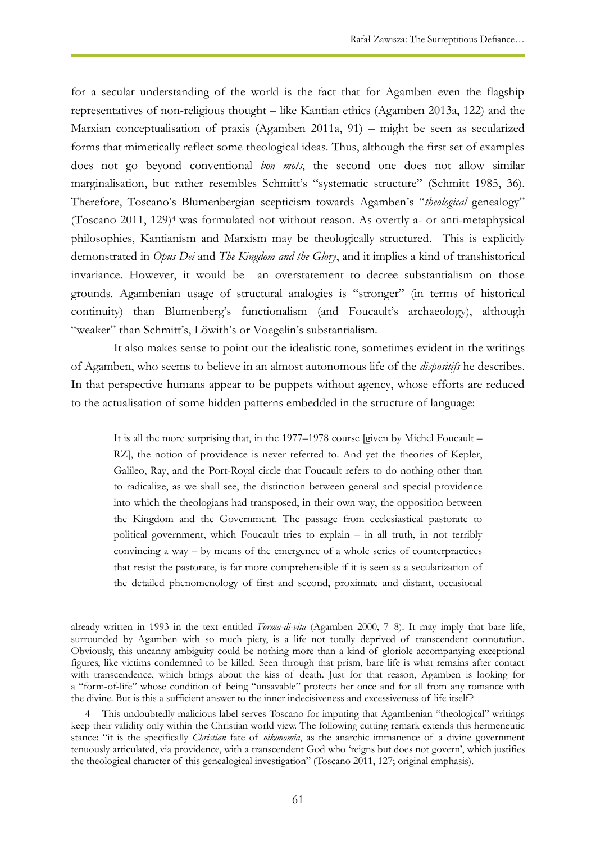for a secular understanding of the world is the fact that for Agamben even the flagship representatives of non-religious thought – like Kantian ethics (Agamben 2013a, 122) and the Marxian conceptualisation of praxis (Agamben 2011a, 91) – might be seen as secularized forms that mimetically reflect some theological ideas. Thus, although the first set of examples does not go beyond conventional *bon mots*, the second one does not allow similar marginalisation, but rather resembles Schmitt's "systematic structure" (Schmitt 1985, 36). Therefore, Toscano's Blumenbergian scepticism towards Agamben's "*theological* genealogy" (Toscano 2011, 129)<sup>4</sup> was formulated not without reason. As overtly a- or anti-metaphysical philosophies, Kantianism and Marxism may be theologically structured. This is explicitly demonstrated in *Opus Dei* and *The Kingdom and the Glory*, and it implies a kind of transhistorical invariance. However, it would be an overstatement to decree substantialism on those grounds. Agambenian usage of structural analogies is "stronger" (in terms of historical continuity) than Blumenberg's functionalism (and Foucault's archaeology), although "weaker" than Schmitt's, Löwith's or Voegelin's substantialism.

It also makes sense to point out the idealistic tone, sometimes evident in the writings of Agamben, who seems to believe in an almost autonomous life of the *dispositifs* he describes. In that perspective humans appear to be puppets without agency, whose efforts are reduced to the actualisation of some hidden patterns embedded in the structure of language:

It is all the more surprising that, in the 1977–1978 course [given by Michel Foucault – RZ], the notion of providence is never referred to. And yet the theories of Kepler, Galileo, Ray, and the Port-Royal circle that Foucault refers to do nothing other than to radicalize, as we shall see, the distinction between general and special providence into which the theologians had transposed, in their own way, the opposition between the Kingdom and the Government. The passage from ecclesiastical pastorate to political government, which Foucault tries to explain – in all truth, in not terribly convincing a way – by means of the emergence of a whole series of counterpractices that resist the pastorate, is far more comprehensible if it is seen as a secularization of the detailed phenomenology of first and second, proximate and distant, occasional

already written in 1993 in the text entitled *Forma-di-vita* (Agamben 2000, 7–8). It may imply that bare life, surrounded by Agamben with so much piety, is a life not totally deprived of transcendent connotation. Obviously, this uncanny ambiguity could be nothing more than a kind of gloriole accompanying exceptional figures, like victims condemned to be killed. Seen through that prism, bare life is what remains after contact with transcendence, which brings about the kiss of death. Just for that reason, Agamben is looking for a "form-of-life" whose condition of being "unsavable" protects her once and for all from any romance with the divine. But is this a sufficient answer to the inner indecisiveness and excessiveness of life itself?

<sup>4</sup> This undoubtedly malicious label serves Toscano for imputing that Agambenian "theological" writings keep their validity only within the Christian world view. The following cutting remark extends this hermeneutic stance: "it is the specifically *Christian* fate of *oikonomia*, as the anarchic immanence of a divine government tenuously articulated, via providence, with a transcendent God who 'reigns but does not govern', which justifies the theological character of this genealogical investigation" (Toscano 2011, 127; original emphasis).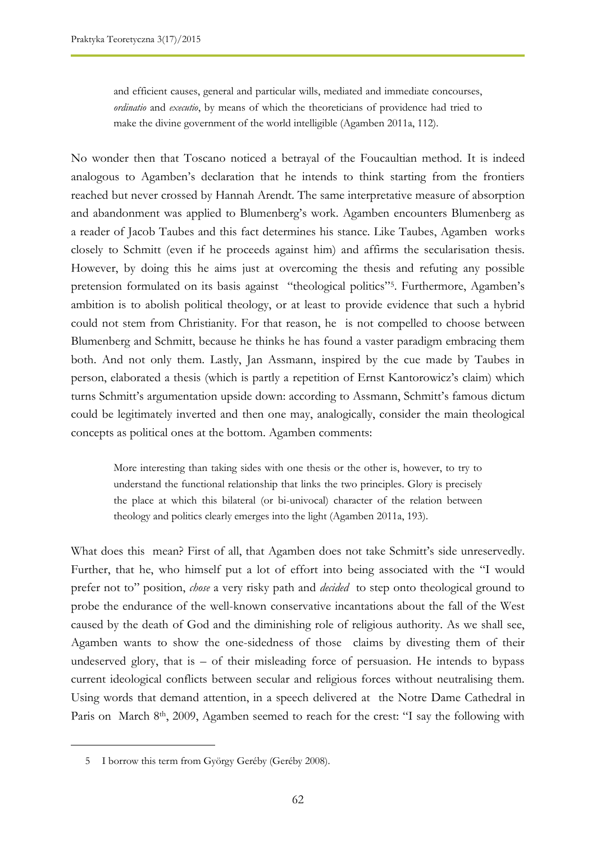and efficient causes, general and particular wills, mediated and immediate concourses, *ordinatio* and *executio*, by means of which the theoreticians of providence had tried to make the divine government of the world intelligible (Agamben 2011a, 112).

No wonder then that Toscano noticed a betrayal of the Foucaultian method. It is indeed analogous to Agamben's declaration that he intends to think starting from the frontiers reached but never crossed by Hannah Arendt. The same interpretative measure of absorption and abandonment was applied to Blumenberg's work. Agamben encounters Blumenberg as a reader of Jacob Taubes and this fact determines his stance. Like Taubes, Agamben works closely to Schmitt (even if he proceeds against him) and affirms the secularisation thesis. However, by doing this he aims just at overcoming the thesis and refuting any possible pretension formulated on its basis against "theological politics"<sup>5</sup> . Furthermore, Agamben's ambition is to abolish political theology, or at least to provide evidence that such a hybrid could not stem from Christianity. For that reason, he is not compelled to choose between Blumenberg and Schmitt, because he thinks he has found a vaster paradigm embracing them both. And not only them. Lastly, Jan Assmann, inspired by the cue made by Taubes in person, elaborated a thesis (which is partly a repetition of Ernst Kantorowicz's claim) which turns Schmitt's argumentation upside down: according to Assmann, Schmitt's famous dictum could be legitimately inverted and then one may, analogically, consider the main theological concepts as political ones at the bottom. Agamben comments:

More interesting than taking sides with one thesis or the other is, however, to try to understand the functional relationship that links the two principles. Glory is precisely the place at which this bilateral (or bi-univocal) character of the relation between theology and politics clearly emerges into the light (Agamben 2011a, 193).

What does this mean? First of all, that Agamben does not take Schmitt's side unreservedly. Further, that he, who himself put a lot of effort into being associated with the "I would prefer not to" position, *chose* a very risky path and *decided* to step onto theological ground to probe the endurance of the well-known conservative incantations about the fall of the West caused by the death of God and the diminishing role of religious authority. As we shall see, Agamben wants to show the one-sidedness of those claims by divesting them of their undeserved glory, that is  $-$  of their misleading force of persuasion. He intends to bypass current ideological conflicts between secular and religious forces without neutralising them. Using words that demand attention, in a speech delivered at the Notre Dame Cathedral in Paris on March 8<sup>th</sup>, 2009, Agamben seemed to reach for the crest: "I say the following with

<sup>5</sup> I borrow this term from György Geréby (Geréby 2008).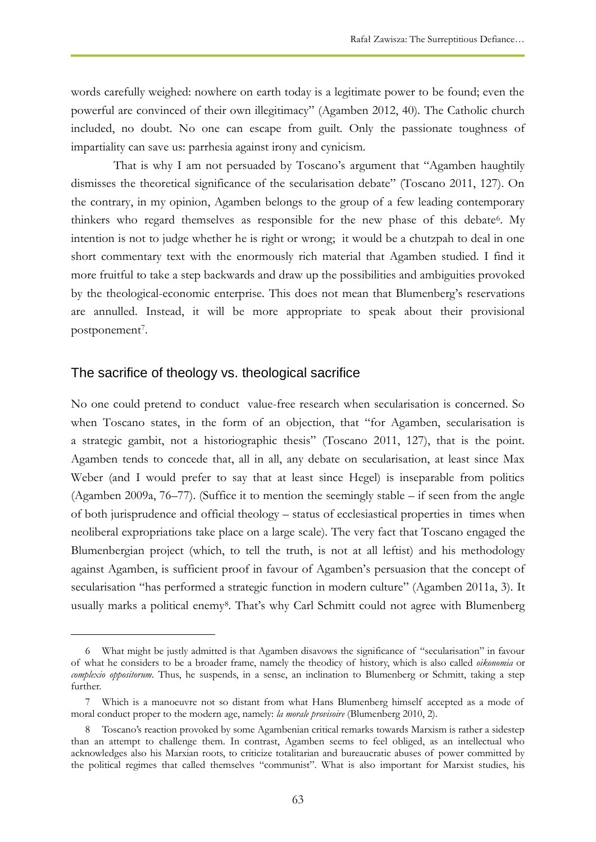words carefully weighed: nowhere on earth today is a legitimate power to be found; even the powerful are convinced of their own illegitimacy" (Agamben 2012, 40). The Catholic church included, no doubt. No one can escape from guilt. Only the passionate toughness of impartiality can save us: parrhesia against irony and cynicism.

That is why I am not persuaded by Toscano's argument that "Agamben haughtily dismisses the theoretical significance of the secularisation debate" (Toscano 2011, 127). On the contrary, in my opinion, Agamben belongs to the group of a few leading contemporary thinkers who regard themselves as responsible for the new phase of this debate<sup>6</sup>. My intention is not to judge whether he is right or wrong; it would be a chutzpah to deal in one short commentary text with the enormously rich material that Agamben studied. I find it more fruitful to take a step backwards and draw up the possibilities and ambiguities provoked by the theological-economic enterprise. This does not mean that Blumenberg's reservations are annulled. Instead, it will be more appropriate to speak about their provisional postponement<sup>7</sup>.

## The sacrifice of theology vs. theological sacrifice

 $\overline{a}$ 

No one could pretend to conduct value-free research when secularisation is concerned. So when Toscano states, in the form of an objection, that "for Agamben, secularisation is a strategic gambit, not a historiographic thesis" (Toscano 2011, 127), that is the point. Agamben tends to concede that, all in all, any debate on secularisation, at least since Max Weber (and I would prefer to say that at least since Hegel) is inseparable from politics (Agamben 2009a, 76–77). (Suffice it to mention the seemingly stable – if seen from the angle of both jurisprudence and official theology – status of ecclesiastical properties in times when neoliberal expropriations take place on a large scale). The very fact that Toscano engaged the Blumenbergian project (which, to tell the truth, is not at all leftist) and his methodology against Agamben, is sufficient proof in favour of Agamben's persuasion that the concept of secularisation "has performed a strategic function in modern culture" (Agamben 2011a, 3). It usually marks a political enemy<sup>8</sup>. That's why Carl Schmitt could not agree with Blumenberg

<sup>6</sup> What might be justly admitted is that Agamben disavows the significance of "secularisation" in favour of what he considers to be a broader frame, namely the theodicy of history, which is also called *oikonomia* or *complexio oppositorum*. Thus, he suspends, in a sense, an inclination to Blumenberg or Schmitt, taking a step further.

<sup>7</sup> Which is a manoeuvre not so distant from what Hans Blumenberg himself accepted as a mode of moral conduct proper to the modern age, namely: *la morale provisoire* (Blumenberg 2010, 2).

<sup>8</sup> Toscano's reaction provoked by some Agambenian critical remarks towards Marxism is rather a sidestep than an attempt to challenge them. In contrast, Agamben seems to feel obliged, as an intellectual who acknowledges also his Marxian roots, to criticize totalitarian and bureaucratic abuses of power committed by the political regimes that called themselves "communist". What is also important for Marxist studies, his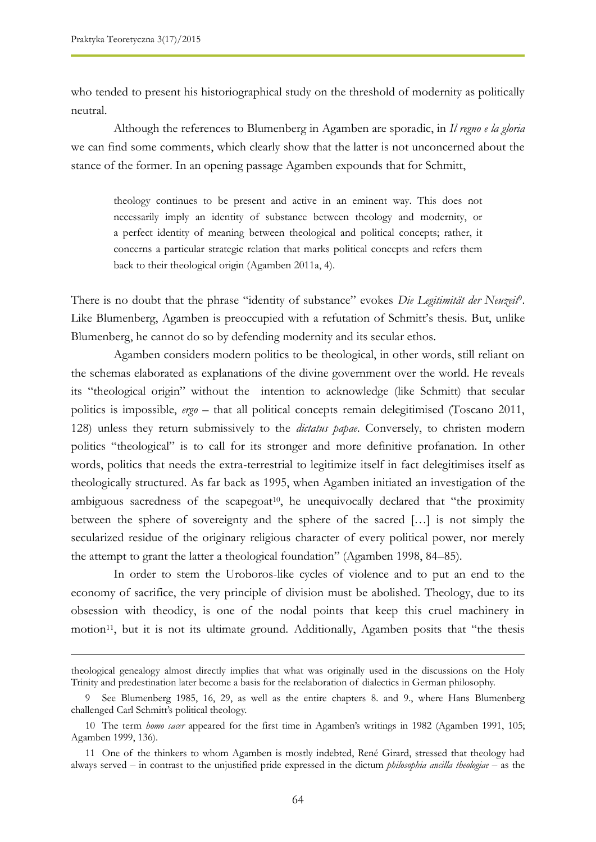who tended to present his historiographical study on the threshold of modernity as politically neutral.

Although the references to Blumenberg in Agamben are sporadic, in *Il regno e la gloria* we can find some comments, which clearly show that the latter is not unconcerned about the stance of the former. In an opening passage Agamben expounds that for Schmitt,

theology continues to be present and active in an eminent way. This does not necessarily imply an identity of substance between theology and modernity, or a perfect identity of meaning between theological and political concepts; rather, it concerns a particular strategic relation that marks political concepts and refers them back to their theological origin (Agamben 2011a, 4).

There is no doubt that the phrase "identity of substance" evokes *Die Legitimität der Neuzeit*<sup>9</sup> . Like Blumenberg, Agamben is preoccupied with a refutation of Schmitt's thesis. But, unlike Blumenberg, he cannot do so by defending modernity and its secular ethos.

Agamben considers modern politics to be theological, in other words, still reliant on the schemas elaborated as explanations of the divine government over the world. He reveals its "theological origin" without the intention to acknowledge (like Schmitt) that secular politics is impossible, *ergo* – that all political concepts remain delegitimised (Toscano 2011, 128) unless they return submissively to the *dictatus papae*. Conversely, to christen modern politics "theological" is to call for its stronger and more definitive profanation. In other words, politics that needs the extra-terrestrial to legitimize itself in fact delegitimises itself as theologically structured. As far back as 1995, when Agamben initiated an investigation of the ambiguous sacredness of the scapegoat<sup>10</sup>, he unequivocally declared that "the proximity between the sphere of sovereignty and the sphere of the sacred […] is not simply the secularized residue of the originary religious character of every political power, nor merely the attempt to grant the latter a theological foundation" (Agamben 1998, 84–85).

In order to stem the Uroboros-like cycles of violence and to put an end to the economy of sacrifice, the very principle of division must be abolished. Theology, due to its obsession with theodicy, is one of the nodal points that keep this cruel machinery in motion<sup>11</sup>, but it is not its ultimate ground. Additionally, Agamben posits that "the thesis

theological genealogy almost directly implies that what was originally used in the discussions on the Holy Trinity and predestination later become a basis for the reelaboration of dialectics in German philosophy.

<sup>9</sup> See Blumenberg 1985, 16, 29, as well as the entire chapters 8. and 9., where Hans Blumenberg challenged Carl Schmitt's political theology.

<sup>10</sup> The term *homo sacer* appeared for the first time in Agamben's writings in 1982 (Agamben 1991, 105; Agamben 1999, 136).

<sup>11</sup> One of the thinkers to whom Agamben is mostly indebted, René Girard, stressed that theology had always served – in contrast to the unjustified pride expressed in the dictum *philosophia ancilla theologiae* – as the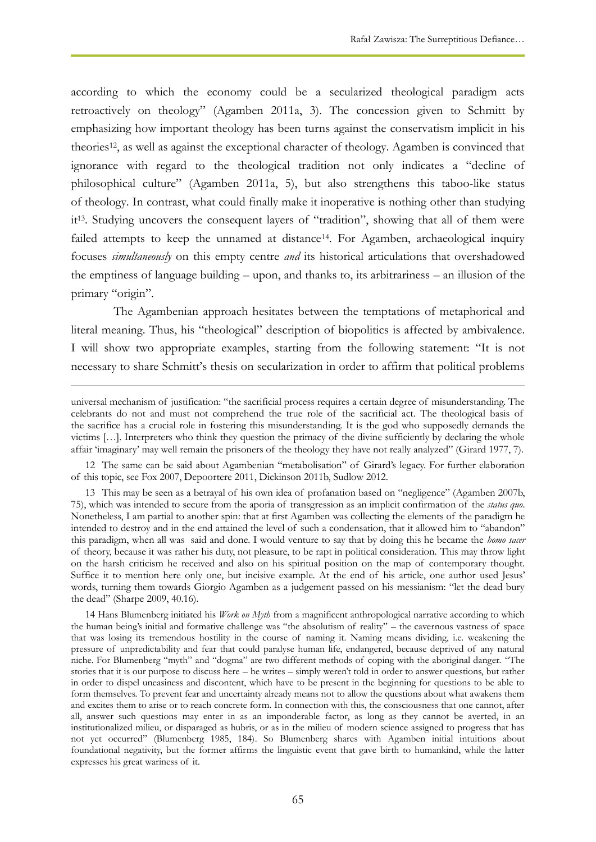according to which the economy could be a secularized theological paradigm acts retroactively on theology" (Agamben 2011a, 3). The concession given to Schmitt by emphasizing how important theology has been turns against the conservatism implicit in his theories<sup>12</sup>, as well as against the exceptional character of theology. Agamben is convinced that ignorance with regard to the theological tradition not only indicates a "decline of philosophical culture" (Agamben 2011a, 5), but also strengthens this taboo-like status of theology. In contrast, what could finally make it inoperative is nothing other than studying it13. Studying uncovers the consequent layers of "tradition", showing that all of them were failed attempts to keep the unnamed at distance<sup>14</sup>. For Agamben, archaeological inquiry focuses *simultaneously* on this empty centre *and* its historical articulations that overshadowed the emptiness of language building – upon, and thanks to, its arbitrariness – an illusion of the primary "origin".

The Agambenian approach hesitates between the temptations of metaphorical and literal meaning. Thus, his "theological" description of biopolitics is affected by ambivalence. I will show two appropriate examples, starting from the following statement: "It is not necessary to share Schmitt's thesis on secularization in order to affirm that political problems

universal mechanism of justification: "the sacrificial process requires a certain degree of misunderstanding. The celebrants do not and must not comprehend the true role of the sacrificial act. The theological basis of the sacrifice has a crucial role in fostering this misunderstanding. It is the god who supposedly demands the victims […]. Interpreters who think they question the primacy of the divine sufficiently by declaring the whole affair 'imaginary' may well remain the prisoners of the theology they have not really analyzed" (Girard 1977, 7).

<sup>12</sup> The same can be said about Agambenian "metabolisation" of Girard's legacy. For further elaboration of this topic, see Fox 2007, Depoortere 2011, Dickinson 2011b, Sudlow 2012.

<sup>13</sup> This may be seen as a betrayal of his own idea of profanation based on "negligence" (Agamben 2007b, 75), which was intended to secure from the aporia of transgression as an implicit confirmation of the *status quo*. Nonetheless, I am partial to another spin: that at first Agamben was collecting the elements of the paradigm he intended to destroy and in the end attained the level of such a condensation, that it allowed him to "abandon" this paradigm, when all was said and done. I would venture to say that by doing this he became the *homo sacer* of theory, because it was rather his duty, not pleasure, to be rapt in political consideration. This may throw light on the harsh criticism he received and also on his spiritual position on the map of contemporary thought. Suffice it to mention here only one, but incisive example. At the end of his article, one author used Jesus' words, turning them towards Giorgio Agamben as a judgement passed on his messianism: "let the dead bury the dead" (Sharpe 2009, 40.16).

<sup>14</sup> Hans Blumenberg initiated his *Work on Myth* from a magnificent anthropological narrative according to which the human being's initial and formative challenge was "the absolutism of reality" – the cavernous vastness of space that was losing its tremendous hostility in the course of naming it. Naming means dividing, i.e. weakening the pressure of unpredictability and fear that could paralyse human life, endangered, because deprived of any natural niche. For Blumenberg "myth" and "dogma" are two different methods of coping with the aboriginal danger. "The stories that it is our purpose to discuss here – he writes – simply weren't told in order to answer questions, but rather in order to dispel uneasiness and discontent, which have to be present in the beginning for questions to be able to form themselves. To prevent fear and uncertainty already means not to allow the questions about what awakens them and excites them to arise or to reach concrete form. In connection with this, the consciousness that one cannot, after all, answer such questions may enter in as an imponderable factor, as long as they cannot be averted, in an institutionalized milieu, or disparaged as hubris, or as in the milieu of modern science assigned to progress that has not yet occurred" (Blumenberg 1985, 184). So Blumenberg shares with Agamben initial intuitions about foundational negativity, but the former affirms the linguistic event that gave birth to humankind, while the latter expresses his great wariness of it.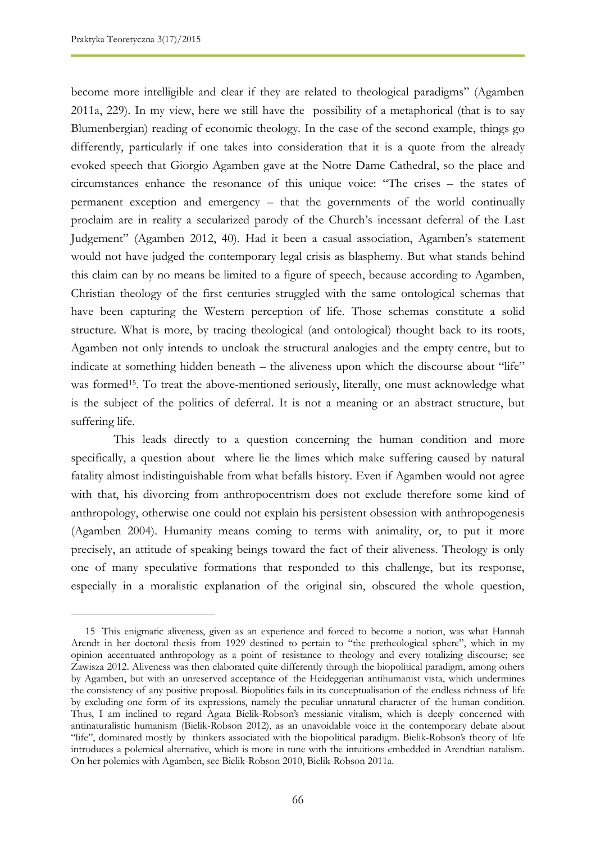become more intelligible and clear if they are related to theological paradigms" (Agamben 2011a, 229). In my view, here we still have the possibility of a metaphorical (that is to say Blumenbergian) reading of economic theology. In the case of the second example, things go differently, particularly if one takes into consideration that it is a quote from the already evoked speech that Giorgio Agamben gave at the Notre Dame Cathedral, so the place and circumstances enhance the resonance of this unique voice: "The crises – the states of permanent exception and emergency – that the governments of the world continually proclaim are in reality a secularized parody of the Church's incessant deferral of the Last Judgement" (Agamben 2012, 40). Had it been a casual association, Agamben's statement would not have judged the contemporary legal crisis as blasphemy. But what stands behind this claim can by no means be limited to a figure of speech, because according to Agamben, Christian theology of the first centuries struggled with the same ontological schemas that have been capturing the Western perception of life. Those schemas constitute a solid structure. What is more, by tracing theological (and ontological) thought back to its roots, Agamben not only intends to uncloak the structural analogies and the empty centre, but to indicate at something hidden beneath – the aliveness upon which the discourse about "life" was formed<sup>15</sup>. To treat the above-mentioned seriously, literally, one must acknowledge what is the subject of the politics of deferral. It is not a meaning or an abstract structure, but suffering life.

This leads directly to a question concerning the human condition and more specifically, a question about where lie the limes which make suffering caused by natural fatality almost indistinguishable from what befalls history. Even if Agamben would not agree with that, his divorcing from anthropocentrism does not exclude therefore some kind of anthropology, otherwise one could not explain his persistent obsession with anthropogenesis (Agamben 2004). Humanity means coming to terms with animality, or, to put it more precisely, an attitude of speaking beings toward the fact of their aliveness. Theology is only one of many speculative formations that responded to this challenge, but its response, especially in a moralistic explanation of the original sin, obscured the whole question,

<sup>15</sup> This enigmatic aliveness, given as an experience and forced to become a notion, was what Hannah Arendt in her doctoral thesis from 1929 destined to pertain to "the pretheological sphere", which in my opinion accentuated anthropology as a point of resistance to theology and every totalizing discourse; see Zawisza 2012. Aliveness was then elaborated quite differently through the biopolitical paradigm, among others by Agamben, but with an unreserved acceptance of the Heideggerian antihumanist vista, which undermines the consistency of any positive proposal. Biopolitics fails in its conceptualisation of the endless richness of life by excluding one form of its expressions, namely the peculiar unnatural character of the human condition. Thus, I am inclined to regard Agata Bielik-Robson's messianic vitalism, which is deeply concerned with antinaturalistic humanism (Bielik-Robson 2012), as an unavoidable voice in the contemporary debate about "life", dominated mostly by thinkers associated with the biopolitical paradigm. Bielik-Robson's theory of life introduces a polemical alternative, which is more in tune with the intuitions embedded in Arendtian natalism. On her polemics with Agamben, see Bielik-Robson 2010, Bielik-Robson 2011a.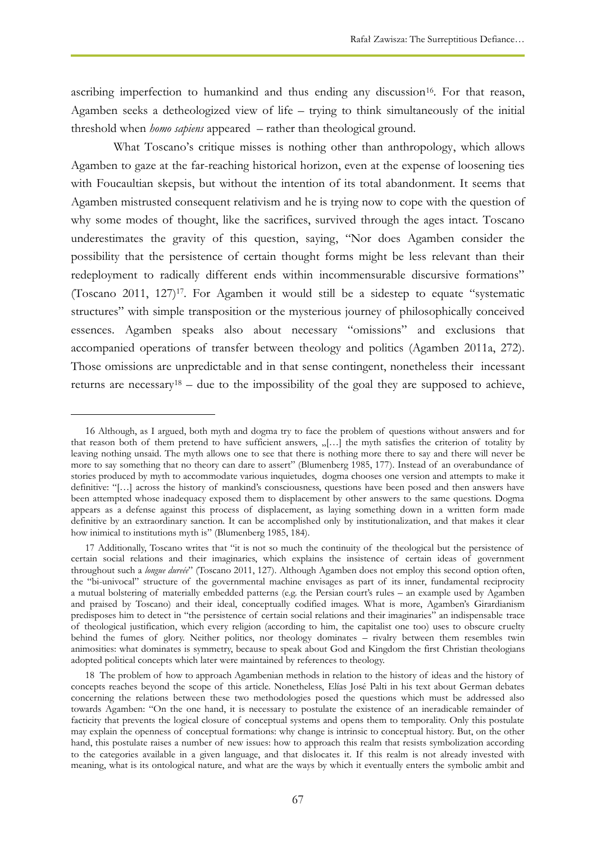ascribing imperfection to humankind and thus ending any discussion<sup>16</sup>. For that reason, Agamben seeks a detheologized view of life – trying to think simultaneously of the initial threshold when *homo sapiens* appeared – rather than theological ground.

What Toscano's critique misses is nothing other than anthropology, which allows Agamben to gaze at the far-reaching historical horizon, even at the expense of loosening ties with Foucaultian skepsis, but without the intention of its total abandonment. It seems that Agamben mistrusted consequent relativism and he is trying now to cope with the question of why some modes of thought, like the sacrifices, survived through the ages intact. Toscano underestimates the gravity of this question, saying, "Nor does Agamben consider the possibility that the persistence of certain thought forms might be less relevant than their redeployment to radically different ends within incommensurable discursive formations" (Toscano 2011, 127)17. For Agamben it would still be a sidestep to equate "systematic structures" with simple transposition or the mysterious journey of philosophically conceived essences. Agamben speaks also about necessary "omissions" and exclusions that accompanied operations of transfer between theology and politics (Agamben 2011a, 272). Those omissions are unpredictable and in that sense contingent, nonetheless their incessant returns are necessary<sup>18</sup> – due to the impossibility of the goal they are supposed to achieve,

<sup>16</sup> Although, as I argued, both myth and dogma try to face the problem of questions without answers and for that reason both of them pretend to have sufficient answers, "[...] the myth satisfies the criterion of totality by leaving nothing unsaid. The myth allows one to see that there is nothing more there to say and there will never be more to say something that no theory can dare to assert" (Blumenberg 1985, 177). Instead of an overabundance of stories produced by myth to accommodate various inquietudes, dogma chooses one version and attempts to make it definitive: "[…] across the history of mankind's consciousness, questions have been posed and then answers have been attempted whose inadequacy exposed them to displacement by other answers to the same questions. Dogma appears as a defense against this process of displacement, as laying something down in a written form made definitive by an extraordinary sanction. It can be accomplished only by institutionalization, and that makes it clear how inimical to institutions myth is" (Blumenberg 1985, 184).

<sup>17</sup> Additionally, Toscano writes that "it is not so much the continuity of the theological but the persistence of certain social relations and their imaginaries, which explains the insistence of certain ideas of government throughout such a *longue dureée*" (Toscano 2011, 127). Although Agamben does not employ this second option often, the "bi-univocal" structure of the governmental machine envisages as part of its inner, fundamental reciprocity a mutual bolstering of materially embedded patterns (e.g. the Persian court's rules – an example used by Agamben and praised by Toscano) and their ideal, conceptually codified images. What is more, Agamben's Girardianism predisposes him to detect in "the persistence of certain social relations and their imaginaries" an indispensable trace of theological justification, which every religion (according to him, the capitalist one too) uses to obscure cruelty behind the fumes of glory. Neither politics, nor theology dominates – rivalry between them resembles twin animosities: what dominates is symmetry, because to speak about God and Kingdom the first Christian theologians adopted political concepts which later were maintained by references to theology.

<sup>18</sup> The problem of how to approach Agambenian methods in relation to the history of ideas and the history of concepts reaches beyond the scope of this article. Nonetheless, Elías José Palti in his text about German debates concerning the relations between these two methodologies posed the questions which must be addressed also towards Agamben: "On the one hand, it is necessary to postulate the existence of an ineradicable remainder of facticity that prevents the logical closure of conceptual systems and opens them to temporality. Only this postulate may explain the openness of conceptual formations: why change is intrinsic to conceptual history. But, on the other hand, this postulate raises a number of new issues: how to approach this realm that resists symbolization according to the categories available in a given language, and that dislocates it. If this realm is not already invested with meaning, what is its ontological nature, and what are the ways by which it eventually enters the symbolic ambit and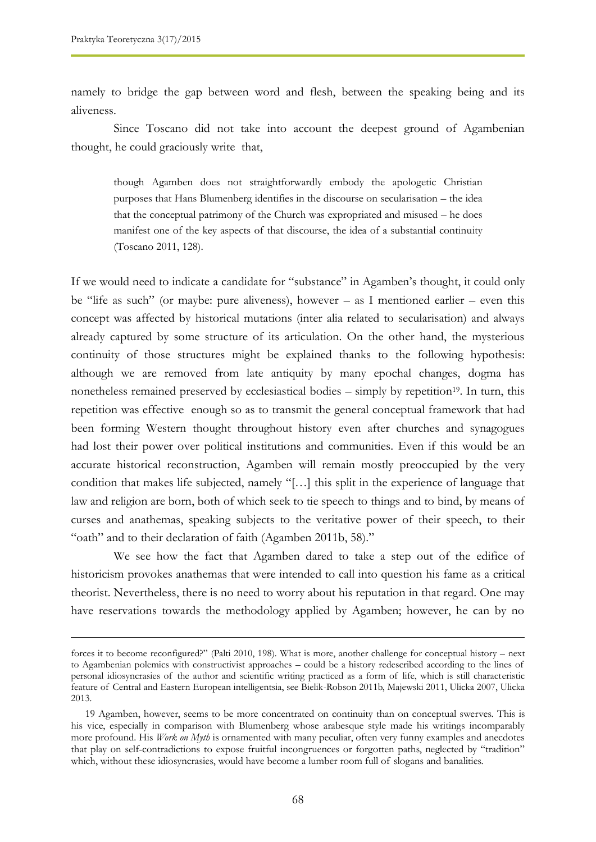namely to bridge the gap between word and flesh, between the speaking being and its aliveness.

Since Toscano did not take into account the deepest ground of Agambenian thought, he could graciously write that,

though Agamben does not straightforwardly embody the apologetic Christian purposes that Hans Blumenberg identifies in the discourse on secularisation – the idea that the conceptual patrimony of the Church was expropriated and misused – he does manifest one of the key aspects of that discourse, the idea of a substantial continuity (Toscano 2011, 128).

If we would need to indicate a candidate for "substance" in Agamben's thought, it could only be "life as such" (or maybe: pure aliveness), however – as I mentioned earlier – even this concept was affected by historical mutations (inter alia related to secularisation) and always already captured by some structure of its articulation. On the other hand, the mysterious continuity of those structures might be explained thanks to the following hypothesis: although we are removed from late antiquity by many epochal changes, dogma has nonetheless remained preserved by ecclesiastical bodies  $-$  simply by repetition<sup>19</sup>. In turn, this repetition was effective enough so as to transmit the general conceptual framework that had been forming Western thought throughout history even after churches and synagogues had lost their power over political institutions and communities. Even if this would be an accurate historical reconstruction, Agamben will remain mostly preoccupied by the very condition that makes life subjected, namely "[…] this split in the experience of language that law and religion are born, both of which seek to tie speech to things and to bind, by means of curses and anathemas, speaking subjects to the veritative power of their speech, to their "oath" and to their declaration of faith (Agamben 2011b, 58)."

We see how the fact that Agamben dared to take a step out of the edifice of historicism provokes anathemas that were intended to call into question his fame as a critical theorist. Nevertheless, there is no need to worry about his reputation in that regard. One may have reservations towards the methodology applied by Agamben; however, he can by no

forces it to become reconfigured?" (Palti 2010, 198). What is more, another challenge for conceptual history – next to Agambenian polemics with constructivist approaches – could be a history redescribed according to the lines of personal idiosyncrasies of the author and scientific writing practiced as a form of life, which is still characteristic feature of Central and Eastern European intelligentsia, see Bielik-Robson 2011b, Majewski 2011, Ulicka 2007, Ulicka 2013.

<sup>19</sup> Agamben, however, seems to be more concentrated on continuity than on conceptual swerves. This is his vice, especially in comparison with Blumenberg whose arabesque style made his writings incomparably more profound. His *Work on Myth* is ornamented with many peculiar, often very funny examples and anecdotes that play on self-contradictions to expose fruitful incongruences or forgotten paths, neglected by "tradition" which, without these idiosyncrasies, would have become a lumber room full of slogans and banalities.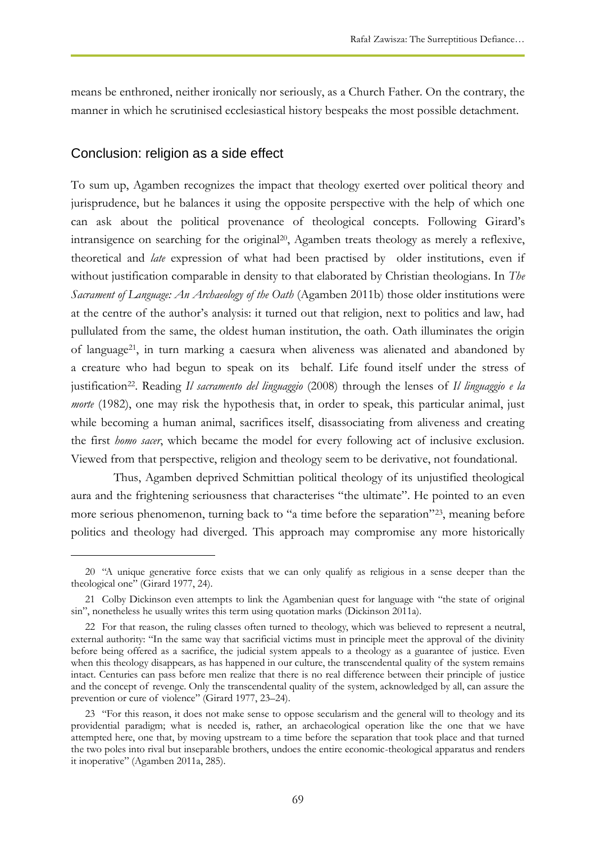means be enthroned, neither ironically nor seriously, as a Church Father. On the contrary, the manner in which he scrutinised ecclesiastical history bespeaks the most possible detachment.

# Conclusion: religion as a side effect

 $\overline{a}$ 

To sum up, Agamben recognizes the impact that theology exerted over political theory and jurisprudence, but he balances it using the opposite perspective with the help of which one can ask about the political provenance of theological concepts. Following Girard's intransigence on searching for the original<sup>20</sup>, Agamben treats theology as merely a reflexive, theoretical and *late* expression of what had been practised by older institutions, even if without justification comparable in density to that elaborated by Christian theologians. In *The Sacrament of Language: An Archaeology of the Oath* (Agamben 2011b) those older institutions were at the centre of the author's analysis: it turned out that religion, next to politics and law, had pullulated from the same, the oldest human institution, the oath. Oath illuminates the origin of language<sup>21</sup>, in turn marking a caesura when aliveness was alienated and abandoned by a creature who had begun to speak on its behalf. Life found itself under the stress of justification22. Reading *Il sacramento del linguaggio* (2008) through the lenses of *Il linguaggio e la morte* (1982), one may risk the hypothesis that, in order to speak, this particular animal, just while becoming a human animal, sacrifices itself, disassociating from aliveness and creating the first *homo sacer*, which became the model for every following act of inclusive exclusion. Viewed from that perspective, religion and theology seem to be derivative, not foundational.

Thus, Agamben deprived Schmittian political theology of its unjustified theological aura and the frightening seriousness that characterises "the ultimate". He pointed to an even more serious phenomenon, turning back to "a time before the separation"<sup>23</sup> , meaning before politics and theology had diverged. This approach may compromise any more historically

<sup>20</sup> "A unique generative force exists that we can only qualify as religious in a sense deeper than the theological one" (Girard 1977, 24).

<sup>21</sup> Colby Dickinson even attempts to link the Agambenian quest for language with "the state of original sin", nonetheless he usually writes this term using quotation marks (Dickinson 2011a).

<sup>22</sup> For that reason, the ruling classes often turned to theology, which was believed to represent a neutral, external authority: "In the same way that sacrificial victims must in principle meet the approval of the divinity before being offered as a sacrifice, the judicial system appeals to a theology as a guarantee of justice. Even when this theology disappears, as has happened in our culture, the transcendental quality of the system remains intact. Centuries can pass before men realize that there is no real difference between their principle of justice and the concept of revenge. Only the transcendental quality of the system, acknowledged by all, can assure the prevention or cure of violence" (Girard 1977, 23–24).

<sup>23</sup> "For this reason, it does not make sense to oppose secularism and the general will to theology and its providential paradigm; what is needed is, rather, an archaeological operation like the one that we have attempted here, one that, by moving upstream to a time before the separation that took place and that turned the two poles into rival but inseparable brothers, undoes the entire economic-theological apparatus and renders it inoperative" (Agamben 2011a, 285).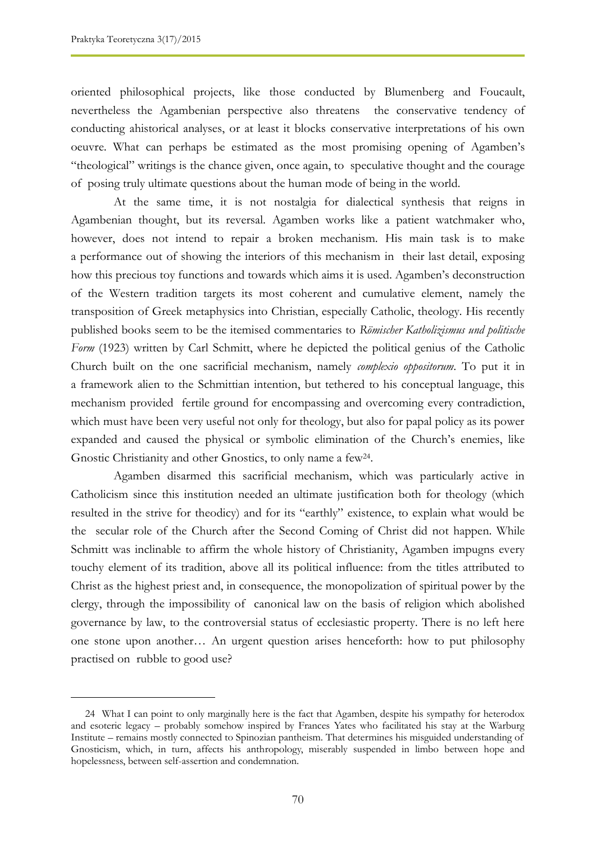oriented philosophical projects, like those conducted by Blumenberg and Foucault, nevertheless the Agambenian perspective also threatens the conservative tendency of conducting ahistorical analyses, or at least it blocks conservative interpretations of his own oeuvre. What can perhaps be estimated as the most promising opening of Agamben's "theological" writings is the chance given, once again, to speculative thought and the courage of posing truly ultimate questions about the human mode of being in the world.

At the same time, it is not nostalgia for dialectical synthesis that reigns in Agambenian thought, but its reversal. Agamben works like a patient watchmaker who, however, does not intend to repair a broken mechanism. His main task is to make a performance out of showing the interiors of this mechanism in their last detail, exposing how this precious toy functions and towards which aims it is used. Agamben's deconstruction of the Western tradition targets its most coherent and cumulative element, namely the transposition of Greek metaphysics into Christian, especially Catholic, theology. His recently published books seem to be the itemised commentaries to *Römischer Katholizismus und politische*  Form (1923) written by Carl Schmitt, where he depicted the political genius of the Catholic Church built on the one sacrificial mechanism, namely *complexio oppositorum*. To put it in a framework alien to the Schmittian intention, but tethered to his conceptual language, this mechanism provided fertile ground for encompassing and overcoming every contradiction, which must have been very useful not only for theology, but also for papal policy as its power expanded and caused the physical or symbolic elimination of the Church's enemies, like Gnostic Christianity and other Gnostics, to only name a few<sup>24</sup>.

Agamben disarmed this sacrificial mechanism, which was particularly active in Catholicism since this institution needed an ultimate justification both for theology (which resulted in the strive for theodicy) and for its "earthly" existence, to explain what would be the secular role of the Church after the Second Coming of Christ did not happen. While Schmitt was inclinable to affirm the whole history of Christianity, Agamben impugns every touchy element of its tradition, above all its political influence: from the titles attributed to Christ as the highest priest and, in consequence, the monopolization of spiritual power by the clergy, through the impossibility of canonical law on the basis of religion which abolished governance by law, to the controversial status of ecclesiastic property. There is no left here one stone upon another… An urgent question arises henceforth: how to put philosophy practised on rubble to good use?

<sup>24</sup> What I can point to only marginally here is the fact that Agamben, despite his sympathy for heterodox and esoteric legacy – probably somehow inspired by Frances Yates who facilitated his stay at the Warburg Institute – remains mostly connected to Spinozian pantheism. That determines his misguided understanding of Gnosticism, which, in turn, affects his anthropology, miserably suspended in limbo between hope and hopelessness, between self-assertion and condemnation.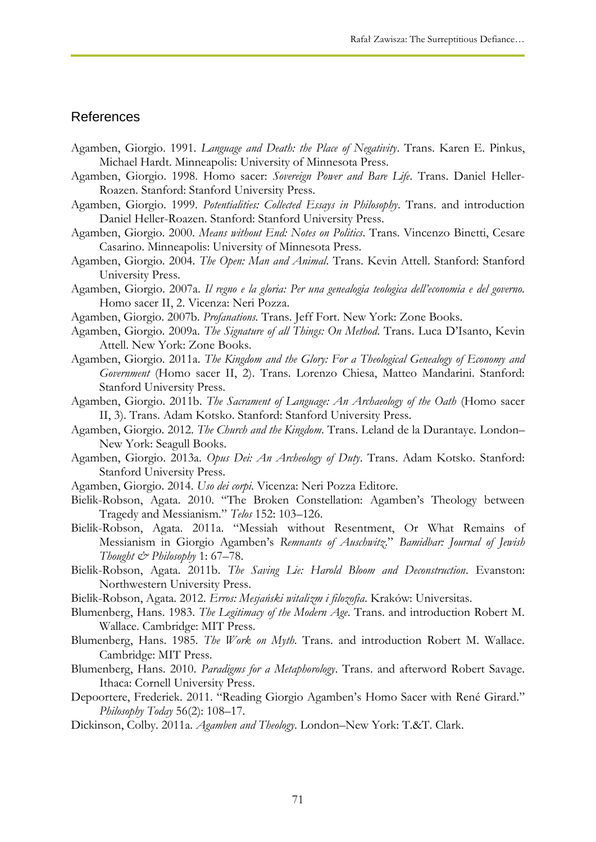#### References

- Agamben, Giorgio. 1991. *Language and Death: the Place of Negativity*. Trans. Karen E. Pinkus, Michael Hardt. Minneapolis: University of Minnesota Press.
- Agamben, Giorgio. 1998. Homo sacer: *Sovereign Power and Bare Life*. Trans. Daniel Heller-Roazen. Stanford: Stanford University Press.
- Agamben, Giorgio. 1999. *Potentialities: Collected Essays in Philosophy*. Trans. and introduction Daniel Heller-Roazen. Stanford: Stanford University Press.
- Agamben, Giorgio. 2000. *Means without End: Notes on Politics*. Trans. Vincenzo Binetti, Cesare Casarino. Minneapolis: University of Minnesota Press.
- Agamben, Giorgio. 2004. *The Open: Man and Animal*. Trans. Kevin Attell. Stanford: Stanford University Press.
- Agamben, Giorgio. 2007a. *Il regno e la gloria: Per una genealogia teologica dell'economia e del governo.*  Homo sacer II, 2. Vicenza: Neri Pozza.
- Agamben, Giorgio. 2007b. *Profanations.* Trans. Jeff Fort. New York: Zone Books.
- Agamben, Giorgio. 2009a. *The Signature of all Things: On Method*. Trans. Luca D'Isanto, Kevin Attell. New York: Zone Books.
- Agamben, Giorgio. 2011a. *The Kingdom and the Glory: For a Theological Genealogy of Economy and Government* (Homo sacer II, 2). Trans. Lorenzo Chiesa, Matteo Mandarini. Stanford: Stanford University Press.
- Agamben, Giorgio. 2011b. *The Sacrament of Language: An Archaeology of the Oath* (Homo sacer II, 3). Trans. Adam Kotsko. Stanford: Stanford University Press.
- Agamben, Giorgio. 2012. *The Church and the Kingdom*. Trans. Leland de la Durantaye. London– New York: Seagull Books.
- Agamben, Giorgio. 2013a. *Opus Dei: An Archeology of Duty*. Trans. Adam Kotsko. Stanford: Stanford University Press.
- Agamben, Giorgio. 2014. *Uso dei corpi*. Vicenza: Neri Pozza Editore.
- Bielik-Robson, Agata. 2010. "The Broken Constellation: Agamben's Theology between Tragedy and Messianism." *Telos* 152: 103–126.
- Bielik-Robson, Agata. 2011a. "Messiah without Resentment, Or What Remains of Messianism in Giorgio Agamben's *Remnants of Auschwitz*." *Bamidbar: Journal of Jewish Thought & Philosophy* 1: 67–78.
- Bielik-Robson, Agata. 2011b. *The Saving Lie: Harold Bloom and Deconstruction*. Evanston: Northwestern University Press.
- Bielik-Robson, Agata. 2012. *Erros: Mesjański witalizm i filozofia*. Kraków: Universitas.
- Blumenberg, Hans. 1983. *The Legitimacy of the Modern Age*. Trans. and introduction Robert M. Wallace. Cambridge: MIT Press.
- Blumenberg, Hans. 1985. *The Work on Myth*. Trans. and introduction Robert M. Wallace. Cambridge: MIT Press.
- Blumenberg, Hans. 2010. *Paradigms for a Metaphorology*. Trans. and afterword Robert Savage. Ithaca: Cornell University Press.
- Depoortere, Frederiek. 2011. "Reading Giorgio Agamben's Homo Sacer with René Girard." *Philosophy Today* 56(2): 108–17.
- Dickinson, Colby. 2011a. *Agamben and Theology*. London–New York: T.&T. Clark.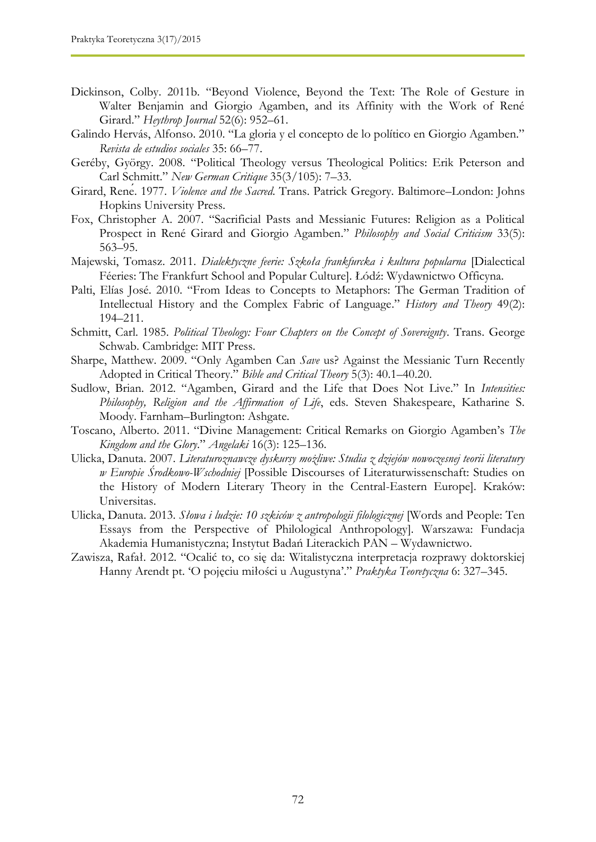- Dickinson, Colby. 2011b. "Beyond Violence, Beyond the Text: The Role of Gesture in Walter Benjamin and Giorgio Agamben, and its Affinity with the Work of René Girard." *Heythrop Journal* 52(6): 952–61.
- Galindo Hervás, Alfonso. 2010. "La gloria y el concepto de lo político en Giorgio Agamben." *Revista de estudios sociales* 35: 66–77.
- Geréby, György. 2008. "Political Theology versus Theological Politics: Erik Peterson and Carl Schmitt." *New German Critique* 35(3/105): 7–33.
- Girard, René. 1977. *Violence and the Sacred*. Trans. Patrick Gregory. Baltimore–London: Johns Hopkins University Press.
- Fox, Christopher A. 2007. "Sacrificial Pasts and Messianic Futures: Religion as a Political Prospect in René Girard and Giorgio Agamben." *Philosophy and Social Criticism* 33(5): 563–95.
- Majewski, Tomasz. 2011. *Dialektyczne feerie: Szkoła frankfurcka i kultura popularna* [Dialectical Féeries: The Frankfurt School and Popular Culture]. Łódź: Wydawnictwo Officyna.
- Palti, Elías José. 2010. "From Ideas to Concepts to Metaphors: The German Tradition of Intellectual History and the Complex Fabric of Language." *History and Theory* 49(2): 194–211.
- Schmitt, Carl. 1985. *Political Theology: Four Chapters on the Concept of Sovereignty*. Trans. George Schwab. Cambridge: MIT Press.
- Sharpe, Matthew. 2009. "Only Agamben Can *Save* us? Against the Messianic Turn Recently Adopted in Critical Theory." *Bible and Critical Theory* 5(3): 40.1–40.20.
- Sudlow, Brian. 2012. "Agamben, Girard and the Life that Does Not Live." In *Intensities: Philosophy, Religion and the Affirmation of Life*, eds. Steven Shakespeare, Katharine S. Moody. Farnham–Burlington: Ashgate.
- Toscano, Alberto. 2011. "Divine Management: Critical Remarks on Giorgio Agamben's *The Kingdom and the Glory*." *Angelaki* 16(3): 125–136.
- Ulicka, Danuta. 2007. *Literaturoznawcze dyskursy możliwe: Studia z dziejów nowoczesnej teorii literatury w Europie Środkowo-Wschodniej* [Possible Discourses of Literaturwissenschaft: Studies on the History of Modern Literary Theory in the Central-Eastern Europe]. Kraków: Universitas.
- Ulicka, Danuta. 2013. *Słowa i ludzie: 10 szkiców z antropologii filologicznej* [Words and People: Ten Essays from the Perspective of Philological Anthropology]. Warszawa: Fundacja Akademia Humanistyczna; Instytut Badań Literackich PAN – Wydawnictwo.
- Zawisza, Rafał. 2012. "Ocalić to, co się da: Witalistyczna interpretacja rozprawy doktorskiej Hanny Arendt pt. 'O pojęciu miłości u Augustyna'." *Praktyka Teoretyczna* 6: 327–345.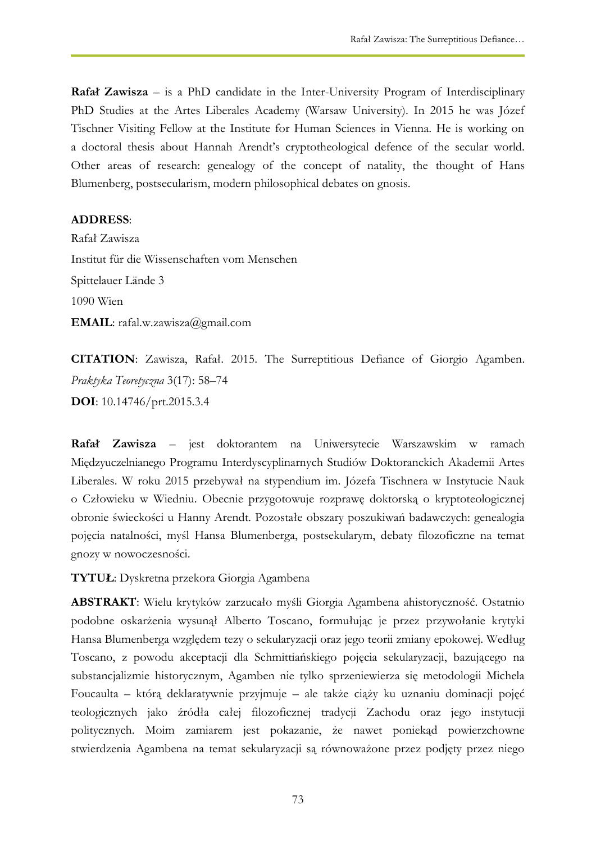**Rafał Zawisza** – is a PhD candidate in the Inter-University Program of Interdisciplinary PhD Studies at the Artes Liberales Academy (Warsaw University). In 2015 he was Józef Tischner Visiting Fellow at the Institute for Human Sciences in Vienna. He is working on a doctoral thesis about Hannah Arendt's cryptotheological defence of the secular world. Other areas of research: genealogy of the concept of natality, the thought of Hans Blumenberg, postsecularism, modern philosophical debates on gnosis.

## **ADDRESS**:

Rafał Zawisza Institut für die Wissenschaften vom Menschen Spittelauer Lände 3 1090 Wien **EMAIL**: rafal.w.zawisza@gmail.com

**CITATION**: Zawisza, Rafał. 2015. The Surreptitious Defiance of Giorgio Agamben. *Praktyka Teoretyczna* 3(17): 58–74 **DOI**: 10.14746/prt.2015.3.4

**Rafał Zawisza** – jest doktorantem na Uniwersytecie Warszawskim w ramach Międzyuczelnianego Programu Interdyscyplinarnych Studiów Doktoranckich Akademii Artes Liberales. W roku 2015 przebywał na stypendium im. Józefa Tischnera w Instytucie Nauk o Człowieku w Wiedniu. Obecnie przygotowuje rozprawę doktorską o kryptoteologicznej obronie świeckości u Hanny Arendt. Pozostałe obszary poszukiwań badawczych: genealogia pojęcia natalności, myśl Hansa Blumenberga, postsekularym, debaty filozoficzne na temat gnozy w nowoczesności.

**TYTUŁ**: Dyskretna przekora Giorgia Agambena

**ABSTRAKT**: Wielu krytyków zarzucało myśli Giorgia Agambena ahistoryczność. Ostatnio podobne oskarżenia wysunął Alberto Toscano, formułując je przez przywołanie krytyki Hansa Blumenberga względem tezy o sekularyzacji oraz jego teorii zmiany epokowej. Według Toscano, z powodu akceptacji dla Schmittiańskiego pojęcia sekularyzacji, bazującego na substancjalizmie historycznym, Agamben nie tylko sprzeniewierza się metodologii Michela Foucaulta – którą deklaratywnie przyjmuje – ale także ciąży ku uznaniu dominacji pojęć teologicznych jako źródła całej filozoficznej tradycji Zachodu oraz jego instytucji politycznych. Moim zamiarem jest pokazanie, że nawet poniekąd powierzchowne stwierdzenia Agambena na temat sekularyzacji są równoważone przez podjęty przez niego